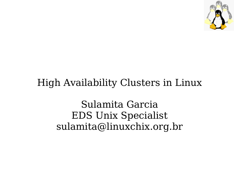

#### High Availability Clusters in Linux

Sulamita Garcia EDS Unix Specialist sulamita@linuxchix.org.br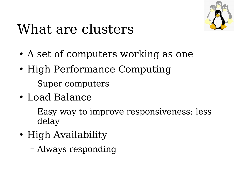

### What are clusters

- A set of computers working as one
- High Performance Computing
	- Super computers
- Load Balance
	- Easy way to improve responsiveness: less delay
- High Availability
	- Always responding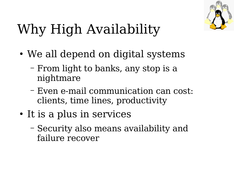

# Why High Availability

- We all depend on digital systems
	- From light to banks, any stop is a nightmare
	- Even e-mail communication can cost: clients, time lines, productivity
- It is a plus in services
	- Security also means availability and failure recover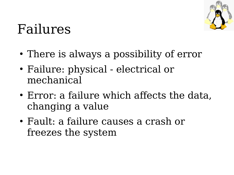

#### Failures

- There is always a possibility of error
- Failure: physical electrical or mechanical
- Error: a failure which affects the data, changing a value
- Fault: a failure causes a crash or freezes the system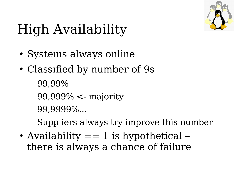

# High Availability

- Systems always online
- Classified by number of 9s
	- 99,99%
	- 99,999% <- majority
	- 99,9999%...
	- Suppliers always try improve this number
- Availability  $== 1$  is hypothetical there is always a chance of failure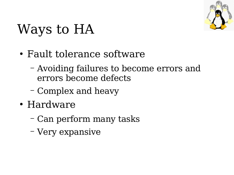

## Ways to HA

- Fault tolerance software
	- Avoiding failures to become errors and errors become defects
	- Complex and heavy
- Hardware
	- Can perform many tasks
	- Very expansive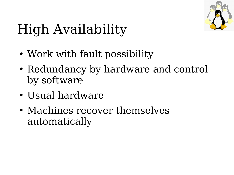

# High Availability

- Work with fault possibility
- Redundancy by hardware and control by software
- Usual hardware
- Machines recover themselves automatically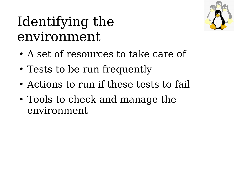### Identifying the environment

- A set of resources to take care of
- Tests to be run frequently
- Actions to run if these tests to fail
- Tools to check and manage the environment

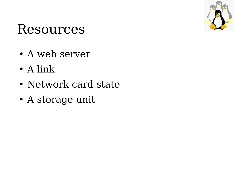

#### Resources

- A web server
- $\bullet$  A link
- Network card state
- A storage unit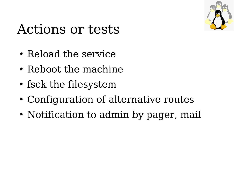

#### Actions or tests

- Reload the service
- Reboot the machine
- fsck the filesystem
- Configuration of alternative routes
- Notification to admin by pager, mail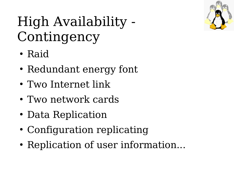

### High Availability - Contingency

- Raid
- Redundant energy font
- Two Internet link
- Two network cards
- Data Replication
- Configuration replicating
- Replication of user information...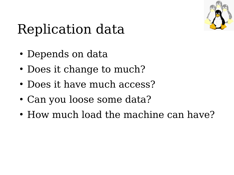

### Replication data

- Depends on data
- Does it change to much?
- Does it have much access?
- Can you loose some data?
- How much load the machine can have?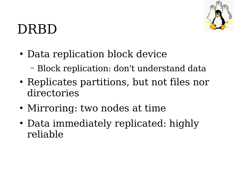

### DRBD

- Data replication block device
	- Block replication: don't understand data
- Replicates partitions, but not files nor directories
- Mirroring: two nodes at time
- Data immediately replicated: highly reliable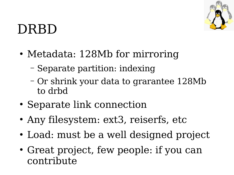

#### DRBD

- Metadata: 128Mb for mirroring
	- Separate partition: indexing
	- Or shrink your data to grarantee 128Mb to drbd
- Separate link connection
- Any filesystem: ext3, reiserfs, etc
- Load: must be a well designed project
- Great project, few people: if you can contribute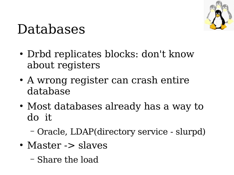

#### Databases

- Drbd replicates blocks: don't know about registers
- A wrong register can crash entire database
- Most databases already has a way to do it
	- Oracle, LDAP(directory service slurpd)
- Master -> slaves
	- Share the load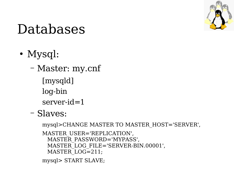

#### Databases

- Mysql:
	- Master: my.cnf [mysqld] log-bin server-id=1
	- Slaves:

```
mysql>CHANGE MASTER TO MASTER_HOST=
'SERVER',
MASTER USER='REPLICATION',
 MASTER_PASSWORD=
'MYPASS',
 MASTER_LOG_FILE=
'SERVER-BIN.00001',
 MASTER_LOG=211;
mysql> START SLAVE;
```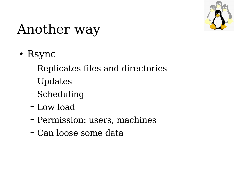

### Another way

- Rsync
	- Replicates files and directories
	- Updates
	- Scheduling
	- Low load
	- Permission: users, machines
	- Can loose some data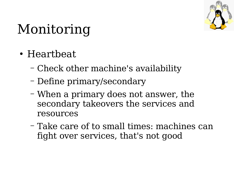

## Monitoring

- Heartbeat
	- Check other machine's availability
	- Define primary/secondary
	- When a primary does not answer, the secondary takeovers the services and resources
	- Take care of to small times: machines can fight over services, that's not good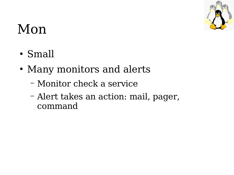

### Mon

- Small
- Many monitors and alerts
	- Monitor check a service
	- Alert takes an action: mail, pager, command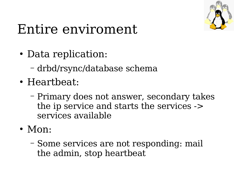

### Entire enviroment

- Data replication:
	- drbd/rsync/database schema
- Heartbeat:
	- Primary does not answer, secondary takes the ip service and starts the services -> services available
- Mon:
	- Some services are not responding: mail the admin, stop heartbeat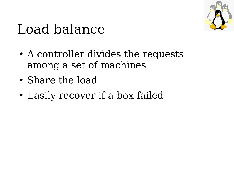

### Load balance

- A controller divides the requests among a set of machines
- Share the load
- Easily recover if a box failed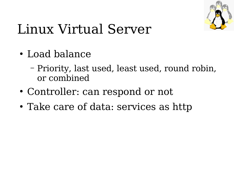

## Linux Virtual Server

- Load balance
	- Priority, last used, least used, round robin, or combined
- Controller: can respond or not
- Take care of data: services as http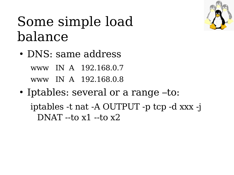#### Some simple load balance

- DNS: same address www IN A 192.168.0.7 www IN A 192.168.0.8
- Iptables: several or a range –to: iptables -t nat -A OUTPUT -p tcp -d xxx -j DNAT  $-$ to x1 $-$ to x2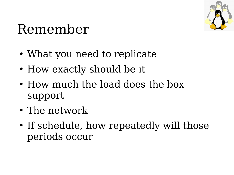

#### Remember

- What you need to replicate
- How exactly should be it
- How much the load does the box support
- The network
- If schedule, how repeatedly will those periods occur